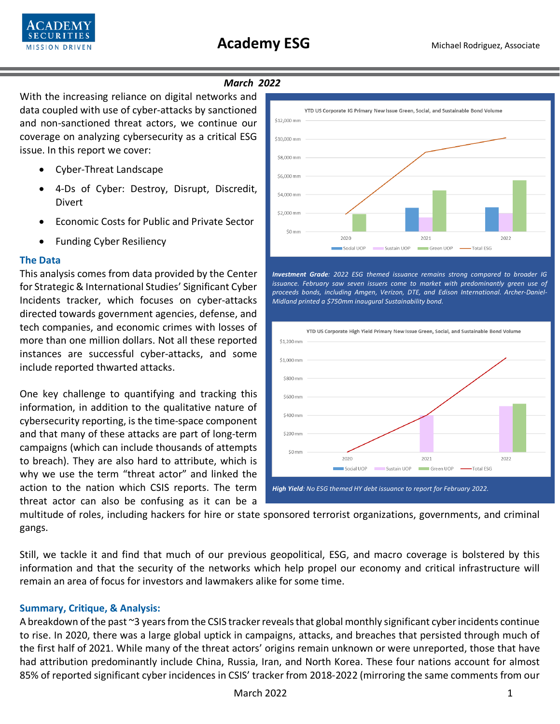

# *March 2022*

With the increasing reliance on digital networks and data coupled with use of cyber-attacks by sanctioned and non-sanctioned threat actors, we continue our coverage on analyzing cybersecurity as a critical ESG issue. In this report we cover:

- Cyber-Threat Landscape
- 4-Ds of Cyber: Destroy, Disrupt, Discredit, Divert
- Economic Costs for Public and Private Sector
- Funding Cyber Resiliency

### **The Data**

This analysis comes from data provided by the Center for Strategic & International Studies' Significant Cyber Incidents tracker, which focuses on cyber-attacks directed towards government agencies, defense, and tech companies, and economic crimes with losses of more than one million dollars. Not all these reported instances are successful cyber-attacks, and some include reported thwarted attacks.

One key challenge to quantifying and tracking this information, in addition to the qualitative nature of cybersecurity reporting, is the time-space component and that many of these attacks are part of long-term campaigns (which can include thousands of attempts to breach). They are also hard to attribute, which is why we use the term "threat actor" and linked the action to the nation which CSIS reports. The term



*Investment Grade: 2022 ESG themed issuance remains strong compared to broader IG issuance. February saw seven issuers come to market with predominantly green use of proceeds bonds, including Amgen, Verizon, DTE, and Edison International. Archer-Daniel-Midland printed a \$750mm inaugural Sustainability bond.* 



threat actor can also be confusing as it can be a

multitude of roles, including hackers for hire or state sponsored terrorist organizations, governments, and criminal gangs.

Still, we tackle it and find that much of our previous geopolitical, ESG, and macro coverage is bolstered by this information and that the security of the networks which help propel our economy and critical infrastructure will remain an area of focus for investors and lawmakers alike for some time.

## **Summary, Critique, & Analysis:**

A breakdown of the past ~3 years from the CSIS tracker reveals that global monthly significant cyber incidents continue to rise. In 2020, there was a large global uptick in campaigns, attacks, and breaches that persisted through much of the first half of 2021. While many of the threat actors' origins remain unknown or were unreported, those that have had attribution predominantly include China, Russia, Iran, and North Korea. These four nations account for almost 85% of reported significant cyber incidences in CSIS' tracker from 2018-2022 (mirroring the same comments from our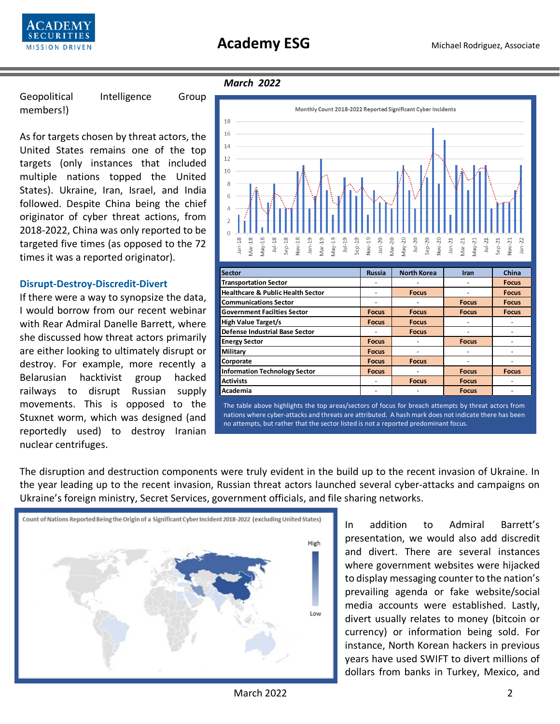

Geopolitical Intelligence Group members!)

As for targets chosen by threat actors, the United States remains one of the top targets (only instances that included multiple nations topped the United States). Ukraine, Iran, Israel, and India followed. Despite China being the chief originator of cyber threat actions, from 2018-2022, China was only reported to be targeted five times (as opposed to the 72 times it was a reported originator).

### **Disrupt-Destroy-Discredit-Divert**

If there were a way to synopsize the data, I would borrow from our recent webinar with Rear Admiral Danelle Barrett, where she discussed how threat actors primarily are either looking to ultimately disrupt or destroy. For example, more recently a Belarusian hacktivist group hacked railways to disrupt Russian supply movements. This is opposed to the Stuxnet worm, which was designed (and reportedly used) to destroy Iranian nuclear centrifuges.

#### *March 2022*



The table above highlights the top areas/sectors of focus for breach attempts by threat actors from nations where cyber-attacks and threats are attributed. A hash mark does not indicate there has been no attempts, but rather that the sector listed is not a reported predominant focus.

The disruption and destruction components were truly evident in the build up to the recent invasion of Ukraine. In the year leading up to the recent invasion, Russian threat actors launched several cyber-attacks and campaigns on Ukraine's foreign ministry, Secret Services, government officials, and file sharing networks.



In addition to Admiral Barrett's presentation, we would also add discredit and divert. There are several instances where government websites were hijacked to display messaging counter to the nation's prevailing agenda or fake website/social media accounts were established. Lastly, divert usually relates to money (bitcoin or currency) or information being sold. For instance, North Korean hackers in previous years have used SWIFT to divert millions of dollars from banks in Turkey, Mexico, and

March 2022 **2022**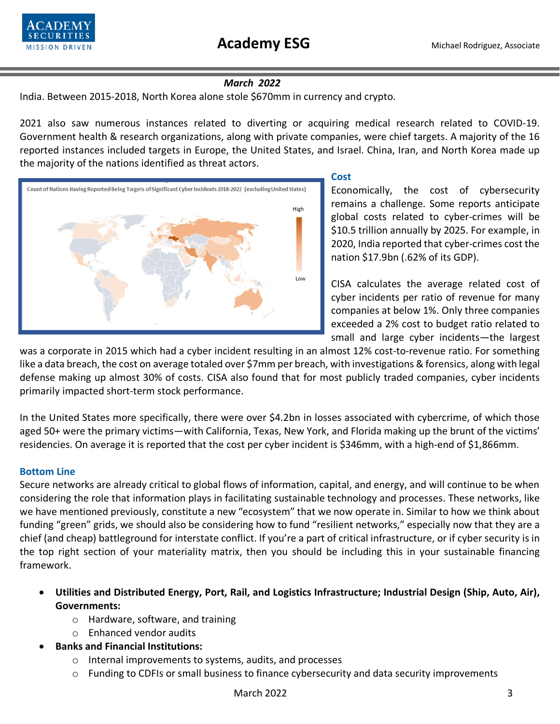

# *March 2022*

India. Between 2015-2018, North Korea alone stole \$670mm in currency and crypto.

2021 also saw numerous instances related to diverting or acquiring medical research related to COVID-19. Government health & research organizations, along with private companies, were chief targets. A majority of the 16 reported instances included targets in Europe, the United States, and Israel. China, Iran, and North Korea made up the majority of the nations identified as threat actors.



### **Cost**

Economically, the cost of cybersecurity remains a challenge. Some reports anticipate global costs related to cyber-crimes will be \$10.5 trillion annually by 2025. For example, in 2020, India reported that cyber-crimes cost the nation \$17.9bn (.62% of its GDP).

CISA calculates the average related cost of cyber incidents per ratio of revenue for many companies at below 1%. Only three companies exceeded a 2% cost to budget ratio related to small and large cyber incidents—the largest

was a corporate in 2015 which had a cyber incident resulting in an almost 12% cost-to-revenue ratio. For something like a data breach, the cost on average totaled over \$7mm per breach, with investigations & forensics, along with legal defense making up almost 30% of costs. CISA also found that for most publicly traded companies, cyber incidents primarily impacted short-term stock performance.

In the United States more specifically, there were over \$4.2bn in losses associated with cybercrime, of which those aged 50+ were the primary victims—with California, Texas, New York, and Florida making up the brunt of the victims' residencies. On average it is reported that the cost per cyber incident is \$346mm, with a high-end of \$1,866mm.

## **Bottom Line**

Secure networks are already critical to global flows of information, capital, and energy, and will continue to be when considering the role that information plays in facilitating sustainable technology and processes. These networks, like we have mentioned previously, constitute a new "ecosystem" that we now operate in. Similar to how we think about funding "green" grids, we should also be considering how to fund "resilient networks," especially now that they are a chief (and cheap) battleground for interstate conflict. If you're a part of critical infrastructure, or if cyber security is in the top right section of your materiality matrix, then you should be including this in your sustainable financing framework.

- **Utilities and Distributed Energy, Port, Rail, and Logistics Infrastructure; Industrial Design (Ship, Auto, Air), Governments:**
	- o Hardware, software, and training
	- o Enhanced vendor audits
- **Banks and Financial Institutions:**
	- o Internal improvements to systems, audits, and processes
	- $\circ$  Funding to CDFIs or small business to finance cybersecurity and data security improvements